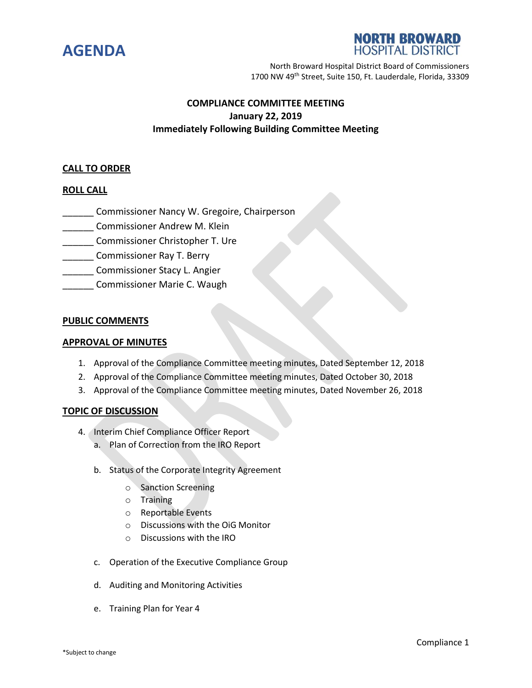



North Broward Hospital District Board of Commissioners 1700 NW 49th Street, Suite 150, Ft. Lauderdale, Florida, 33309

## **COMPLIANCE COMMITTEE MEETING January 22, 2019 Immediately Following Building Committee Meeting**

#### **CALL TO ORDER**

### **ROLL CALL**

- **Commissioner Nancy W. Gregoire, Chairperson**
- \_\_\_\_\_\_ Commissioner Andrew M. Klein
- **\_\_\_\_\_\_** Commissioner Christopher T. Ure
- \_\_\_\_\_\_ Commissioner Ray T. Berry
- **Example 20 Commissioner Stacy L. Angier**
- Commissioner Marie C. Waugh

#### **PUBLIC COMMENTS**

#### **APPROVAL OF MINUTES**

- 1. Approval of the Compliance Committee meeting minutes, Dated September 12, 2018
- 2. Approval of the Compliance Committee meeting minutes, Dated October 30, 2018
- 3. Approval of the Compliance Committee meeting minutes, Dated November 26, 2018

#### **TOPIC OF DISCUSSION**

- 4. Interim Chief Compliance Officer Report
	- a. Plan of Correction from the IRO Report
	- b. Status of the Corporate Integrity Agreement
		- o Sanction Screening
		- o Training
		- o Reportable Events
		- o Discussions with the OiG Monitor
		- o Discussions with the IRO
	- c. Operation of the Executive Compliance Group
	- d. Auditing and Monitoring Activities
	- e. Training Plan for Year 4